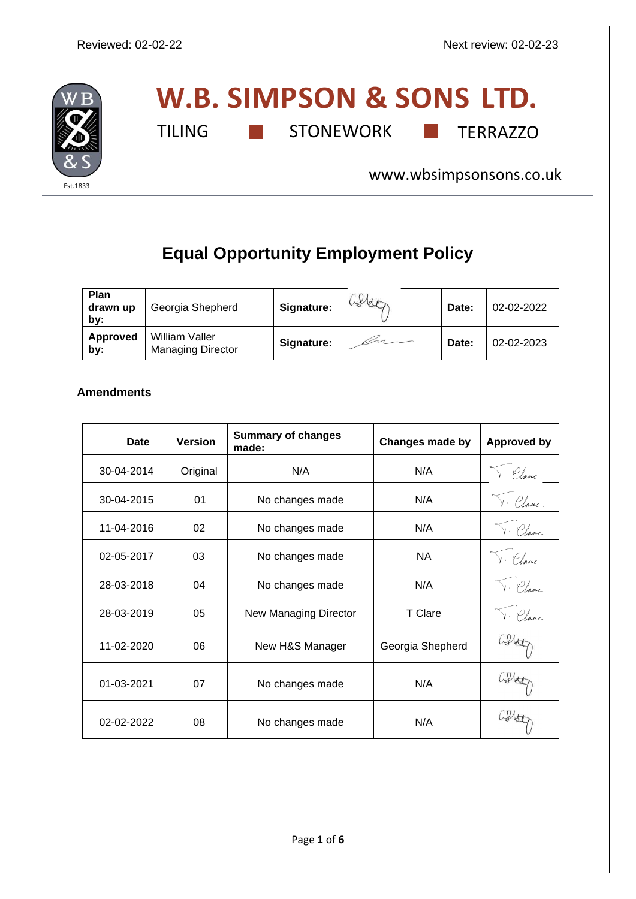

# **W.B. SIMPSON & SONS LTD.** TILING **THE STONEWORK TERRAZZO**

[www.wbsimpsonsons.co.uk](http://www.wbsimpsonsons.co.uk/)

## **Equal Opportunity Employment Policy**

| Plan<br>drawn up<br>by: | Georgia Shepherd                           | Signature: | Hete | Date: | 02-02-2022 |
|-------------------------|--------------------------------------------|------------|------|-------|------------|
| Approved<br>by:         | William Valler<br><b>Managing Director</b> | Signature: |      | Date: | 02-02-2023 |

### **Amendments**

| Date       | <b>Version</b> | <b>Summary of changes</b><br>made: | Changes made by  | <b>Approved by</b> |
|------------|----------------|------------------------------------|------------------|--------------------|
| 30-04-2014 | Original       | N/A                                | N/A              | v. Plane           |
| 30-04-2015 | 01             | No changes made                    | N/A              | · Plane.           |
| 11-04-2016 | 02             | No changes made                    | N/A              |                    |
| 02-05-2017 | 03             | No changes made                    | <b>NA</b>        | v. Plane           |
| 28-03-2018 | 04             | No changes made                    | N/A              |                    |
| 28-03-2019 | 05             | New Managing Director              | T Clare          |                    |
| 11-02-2020 | 06             | New H&S Manager                    | Georgia Shepherd |                    |
| 01-03-2021 | 07             | No changes made                    | N/A              |                    |
| 02-02-2022 | 08             | No changes made                    | N/A              |                    |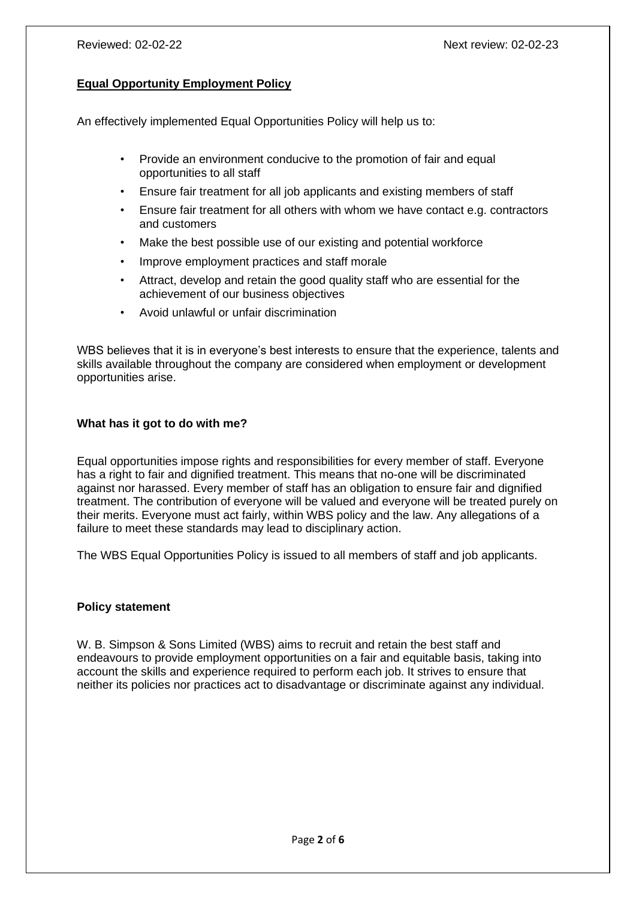#### **Equal Opportunity Employment Policy**

An effectively implemented Equal Opportunities Policy will help us to:

- Provide an environment conducive to the promotion of fair and equal opportunities to all staff
- Ensure fair treatment for all job applicants and existing members of staff
- Ensure fair treatment for all others with whom we have contact e.g. contractors and customers
- Make the best possible use of our existing and potential workforce
- Improve employment practices and staff morale
- Attract, develop and retain the good quality staff who are essential for the achievement of our business objectives
- Avoid unlawful or unfair discrimination

WBS believes that it is in everyone's best interests to ensure that the experience, talents and skills available throughout the company are considered when employment or development opportunities arise.

#### **What has it got to do with me?**

Equal opportunities impose rights and responsibilities for every member of staff. Everyone has a right to fair and dignified treatment. This means that no-one will be discriminated against nor harassed. Every member of staff has an obligation to ensure fair and dignified treatment. The contribution of everyone will be valued and everyone will be treated purely on their merits. Everyone must act fairly, within WBS policy and the law. Any allegations of a failure to meet these standards may lead to disciplinary action.

The WBS Equal Opportunities Policy is issued to all members of staff and job applicants.

#### **Policy statement**

W. B. Simpson & Sons Limited (WBS) aims to recruit and retain the best staff and endeavours to provide employment opportunities on a fair and equitable basis, taking into account the skills and experience required to perform each job. It strives to ensure that neither its policies nor practices act to disadvantage or discriminate against any individual.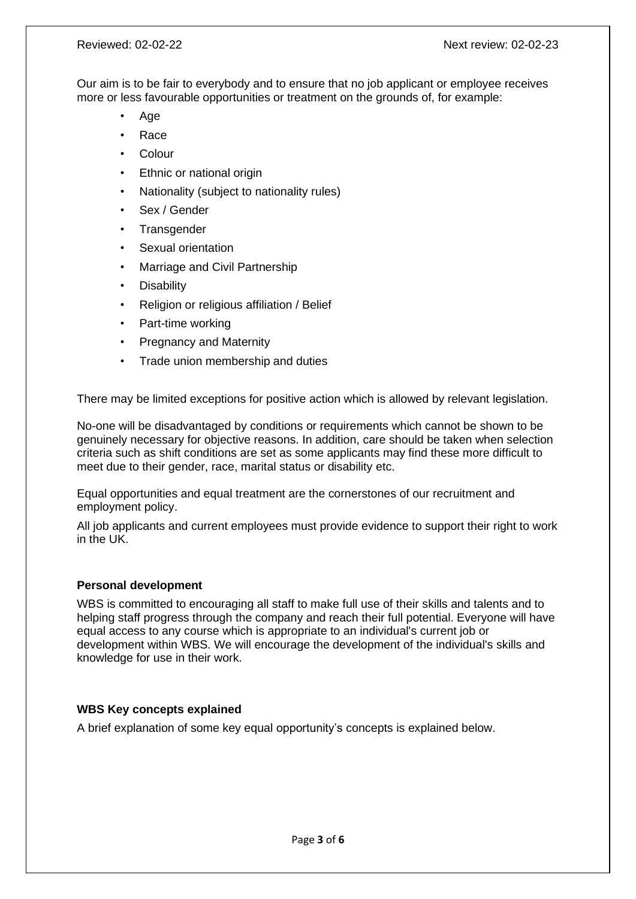Our aim is to be fair to everybody and to ensure that no job applicant or employee receives more or less favourable opportunities or treatment on the grounds of, for example:

- Age
- Race
- Colour
- **Ethnic or national origin**
- Nationality (subject to nationality rules)
- Sex / Gender
- **Transgender**
- Sexual orientation
- Marriage and Civil Partnership
- **Disability**
- Religion or religious affiliation / Belief
- Part-time working
- Pregnancy and Maternity
- Trade union membership and duties

There may be limited exceptions for positive action which is allowed by relevant legislation.

No-one will be disadvantaged by conditions or requirements which cannot be shown to be genuinely necessary for objective reasons. In addition, care should be taken when selection criteria such as shift conditions are set as some applicants may find these more difficult to meet due to their gender, race, marital status or disability etc.

Equal opportunities and equal treatment are the cornerstones of our recruitment and employment policy.

All job applicants and current employees must provide evidence to support their right to work in the UK.

#### **Personal development**

WBS is committed to encouraging all staff to make full use of their skills and talents and to helping staff progress through the company and reach their full potential. Everyone will have equal access to any course which is appropriate to an individual's current job or development within WBS. We will encourage the development of the individual's skills and knowledge for use in their work.

#### **WBS Key concepts explained**

A brief explanation of some key equal opportunity's concepts is explained below.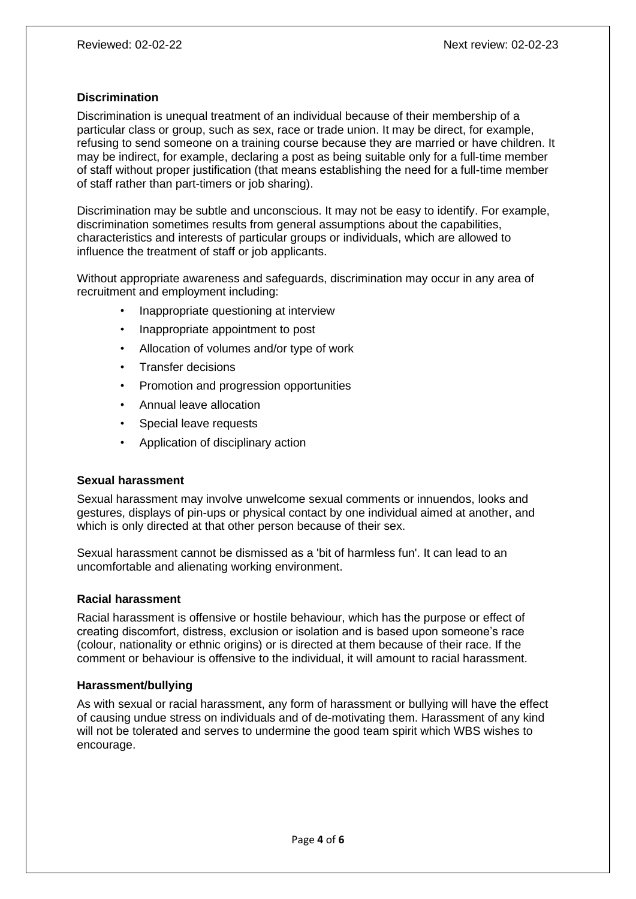#### **Discrimination**

Discrimination is unequal treatment of an individual because of their membership of a particular class or group, such as sex, race or trade union. It may be direct, for example, refusing to send someone on a training course because they are married or have children. It may be indirect, for example, declaring a post as being suitable only for a full-time member of staff without proper justification (that means establishing the need for a full-time member of staff rather than part-timers or job sharing).

Discrimination may be subtle and unconscious. It may not be easy to identify. For example, discrimination sometimes results from general assumptions about the capabilities, characteristics and interests of particular groups or individuals, which are allowed to influence the treatment of staff or job applicants.

Without appropriate awareness and safeguards, discrimination may occur in any area of recruitment and employment including:

- Inappropriate questioning at interview
- Inappropriate appointment to post
- Allocation of volumes and/or type of work
- Transfer decisions
- Promotion and progression opportunities
- Annual leave allocation
- Special leave requests
- Application of disciplinary action

#### **Sexual harassment**

Sexual harassment may involve unwelcome sexual comments or innuendos, looks and gestures, displays of pin-ups or physical contact by one individual aimed at another, and which is only directed at that other person because of their sex.

Sexual harassment cannot be dismissed as a 'bit of harmless fun'. It can lead to an uncomfortable and alienating working environment.

#### **Racial harassment**

Racial harassment is offensive or hostile behaviour, which has the purpose or effect of creating discomfort, distress, exclusion or isolation and is based upon someone's race (colour, nationality or ethnic origins) or is directed at them because of their race. If the comment or behaviour is offensive to the individual, it will amount to racial harassment.

#### **Harassment/bullying**

As with sexual or racial harassment, any form of harassment or bullying will have the effect of causing undue stress on individuals and of de-motivating them. Harassment of any kind will not be tolerated and serves to undermine the good team spirit which WBS wishes to encourage.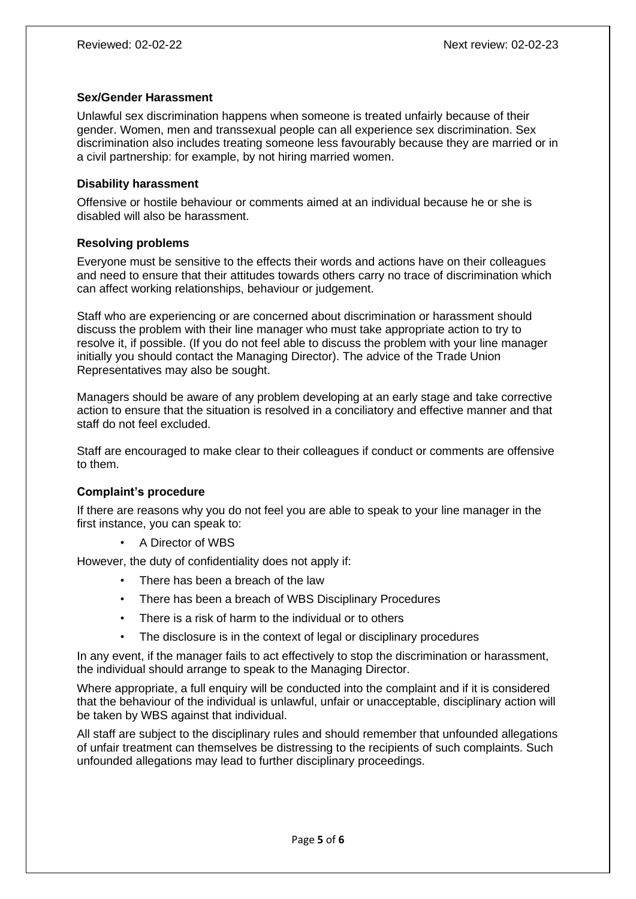#### **Sex/Gender Harassment**

Unlawful sex discrimination happens when someone is treated unfairly because of their gender. Women, men and transsexual people can all experience sex discrimination. Sex discrimination also includes treating someone less favourably because they are married or in a civil partnership: for example, by not hiring married women.

#### **Disability harassment**

Offensive or hostile behaviour or comments aimed at an individual because he or she is disabled will also be harassment.

#### **Resolving problems**

Everyone must be sensitive to the effects their words and actions have on their colleagues and need to ensure that their attitudes towards others carry no trace of discrimination which can affect working relationships, behaviour or judgement.

Staff who are experiencing or are concerned about discrimination or harassment should discuss the problem with their line manager who must take appropriate action to try to resolve it, if possible. (If you do not feel able to discuss the problem with your line manager initially you should contact the Managing Director). The advice of the Trade Union Representatives may also be sought.

Managers should be aware of any problem developing at an early stage and take corrective action to ensure that the situation is resolved in a conciliatory and effective manner and that staff do not feel excluded.

Staff are encouraged to make clear to their colleagues if conduct or comments are offensive to them.

#### **Complaint's procedure**

If there are reasons why you do not feel you are able to speak to your line manager in the first instance, you can speak to:

• A Director of WBS

However, the duty of confidentiality does not apply if:

- There has been a breach of the law
- There has been a breach of WBS Disciplinary Procedures
- There is a risk of harm to the individual or to others
- The disclosure is in the context of legal or disciplinary procedures

In any event, if the manager fails to act effectively to stop the discrimination or harassment, the individual should arrange to speak to the Managing Director.

Where appropriate, a full enquiry will be conducted into the complaint and if it is considered that the behaviour of the individual is unlawful, unfair or unacceptable, disciplinary action will be taken by WBS against that individual.

All staff are subject to the disciplinary rules and should remember that unfounded allegations of unfair treatment can themselves be distressing to the recipients of such complaints. Such unfounded allegations may lead to further disciplinary proceedings.